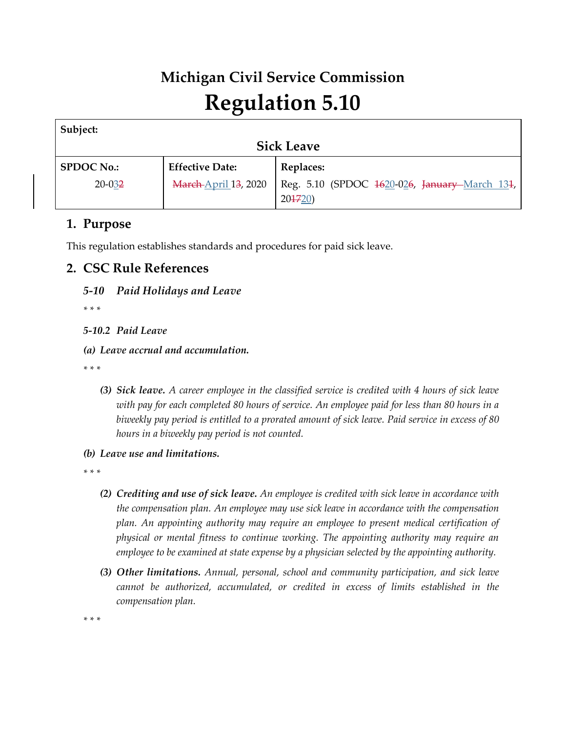# **Michigan Civil Service Commission Regulation 5.10**

| Subject:          |                             |                                                         |  |  |
|-------------------|-----------------------------|---------------------------------------------------------|--|--|
| <b>Sick Leave</b> |                             |                                                         |  |  |
| <b>SPDOC No.:</b> | <b>Effective Date:</b>      | Replaces:                                               |  |  |
| $20 - 032$        | <b>March April 13, 2020</b> | Reg. 5.10 (SPDOC 1620-026, January-March 131,<br>204720 |  |  |

## **1. Purpose**

This regulation establishes standards and procedures for paid sick leave.

# **2. CSC Rule References**

## *5-10 Paid Holidays and Leave*

*\* \* \** 

## *5-10.2 Paid Leave*

## *(a) Leave accrual and accumulation.*

*\* \* \** 

- *(3) Sick leave. A career employee in the classified service is credited with 4 hours of sick leave with pay for each completed 80 hours of service. An employee paid for less than 80 hours in a biweekly pay period is entitled to a prorated amount of sick leave. Paid service in excess of 80 hours in a biweekly pay period is not counted.*
- *(b) Leave use and limitations.*

*\* \* \** 

- *(2) Crediting and use of sick leave. An employee is credited with sick leave in accordance with the compensation plan. An employee may use sick leave in accordance with the compensation plan. An appointing authority may require an employee to present medical certification of physical or mental fitness to continue working. The appointing authority may require an employee to be examined at state expense by a physician selected by the appointing authority.*
- *(3) Other limitations. Annual, personal, school and community participation, and sick leave cannot be authorized, accumulated, or credited in excess of limits established in the compensation plan.*

*\* \* \**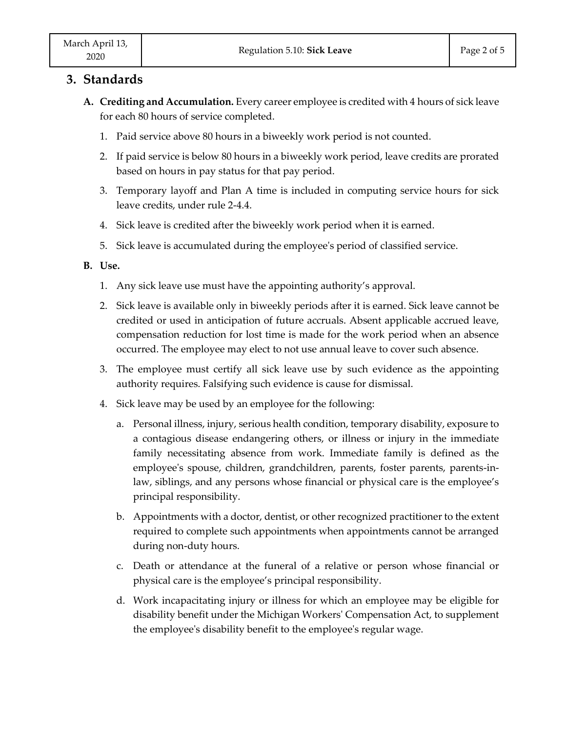## **3. Standards**

- **A. Crediting and Accumulation.** Every career employee is credited with 4 hours of sick leave for each 80 hours of service completed.
	- 1. Paid service above 80 hours in a biweekly work period is not counted.
	- 2. If paid service is below 80 hours in a biweekly work period, leave credits are prorated based on hours in pay status for that pay period.
	- 3. Temporary layoff and Plan A time is included in computing service hours for sick leave credits, under rule 2-4.4.
	- 4. Sick leave is credited after the biweekly work period when it is earned.
	- 5. Sick leave is accumulated during the employee's period of classified service.

#### **B. Use.**

- 1. Any sick leave use must have the appointing authority's approval.
- 2. Sick leave is available only in biweekly periods after it is earned. Sick leave cannot be credited or used in anticipation of future accruals. Absent applicable accrued leave, compensation reduction for lost time is made for the work period when an absence occurred. The employee may elect to not use annual leave to cover such absence.
- 3. The employee must certify all sick leave use by such evidence as the appointing authority requires. Falsifying such evidence is cause for dismissal.
- 4. Sick leave may be used by an employee for the following:
	- a. Personal illness, injury, serious health condition, temporary disability, exposure to a contagious disease endangering others, or illness or injury in the immediate family necessitating absence from work. Immediate family is defined as the employee's spouse, children, grandchildren, parents, foster parents, parents-inlaw, siblings, and any persons whose financial or physical care is the employee's principal responsibility.
	- b. Appointments with a doctor, dentist, or other recognized practitioner to the extent required to complete such appointments when appointments cannot be arranged during non-duty hours.
	- c. Death or attendance at the funeral of a relative or person whose financial or physical care is the employee's principal responsibility.
	- d. Work incapacitating injury or illness for which an employee may be eligible for disability benefit under the Michigan Workers' Compensation Act, to supplement the employee's disability benefit to the employee's regular wage.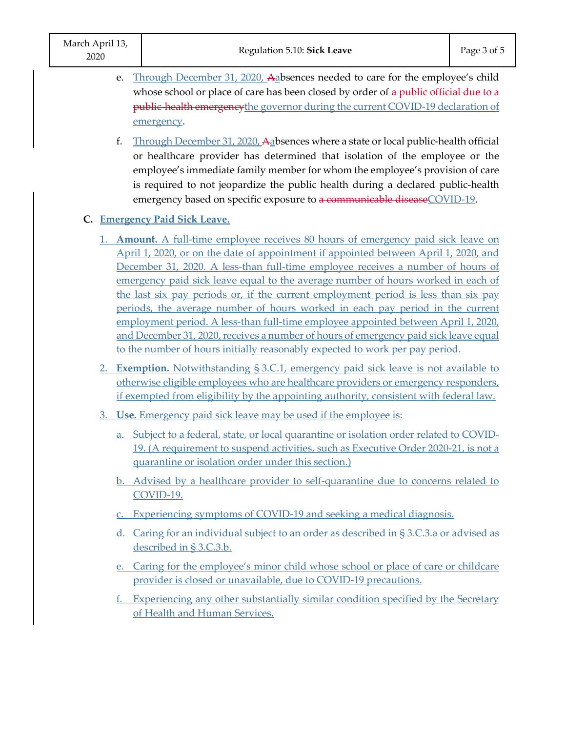- e. Through December 31, 2020, Aabsences needed to care for the employee's child whose school or place of care has been closed by order of a public official due to a public-health emergencythe governor during the current COVID-19 declaration of emergency.
	- f. Through December 31, 2020, Aabsences where a state or local public-health official or healthcare provider has determined that isolation of the employee or the employee's immediate family member for whom the employee's provision of care is required to not jeopardize the public health during a declared public-health emergency based on specific exposure to a communicable disease COVID-19.

## **C. Emergency Paid Sick Leave.**

- 1. **Amount.** A full-time employee receives 80 hours of emergency paid sick leave on April 1, 2020, or on the date of appointment if appointed between April 1, 2020, and December 31, 2020. A less-than full-time employee receives a number of hours of emergency paid sick leave equal to the average number of hours worked in each of the last six pay periods or, if the current employment period is less than six pay periods, the average number of hours worked in each pay period in the current employment period. A less-than full-time employee appointed between April 1, 2020, and December 31, 2020, receives a number of hours of emergency paid sick leave equal to the number of hours initially reasonably expected to work per pay period.
- 2. **Exemption.** Notwithstanding § 3.C.1, emergency paid sick leave is not available to otherwise eligible employees who are healthcare providers or emergency responders, if exempted from eligibility by the appointing authority, consistent with federal law.
- 3. **Use.** Emergency paid sick leave may be used if the employee is:
	- a. Subject to a federal, state, or local quarantine or isolation order related to COVID-19. (A requirement to suspend activities, such as Executive Order 2020-21, is not a quarantine or isolation order under this section.)
	- b. Advised by a healthcare provider to self-quarantine due to concerns related to COVID-19.
	- c. Experiencing symptoms of COVID-19 and seeking a medical diagnosis.
	- d. Caring for an individual subject to an order as described in § 3.C.3.a or advised as described in § 3.C.3.b.
	- e. Caring for the employee's minor child whose school or place of care or childcare provider is closed or unavailable, due to COVID-19 precautions.
	- f. Experiencing any other substantially similar condition specified by the Secretary of Health and Human Services.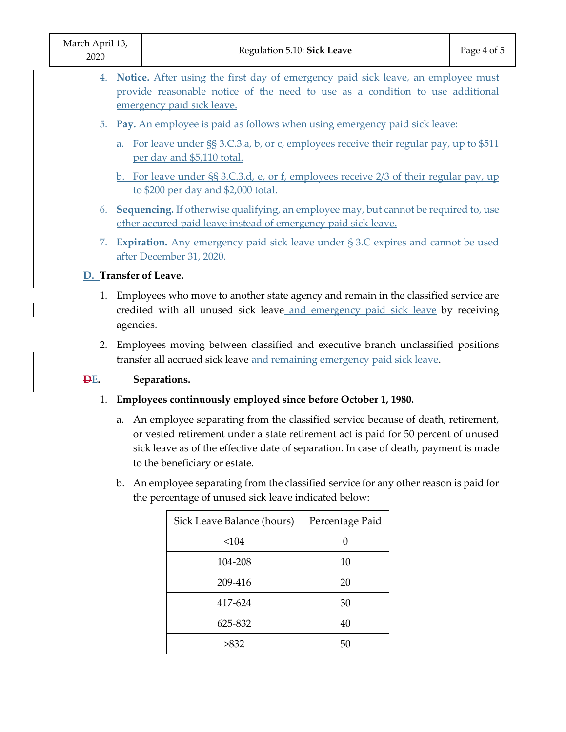| March April 13,<br>2020                                                                                                                                                                            | Regulation 5.10: Sick Leave                                                                                                                                                                                                                                                                        | Page 4 of 5 |  |  |  |
|----------------------------------------------------------------------------------------------------------------------------------------------------------------------------------------------------|----------------------------------------------------------------------------------------------------------------------------------------------------------------------------------------------------------------------------------------------------------------------------------------------------|-------------|--|--|--|
| 4. Notice. After using the first day of emergency paid sick leave, an employee must<br>provide reasonable notice of the need to use as a condition to use additional<br>emergency paid sick leave. |                                                                                                                                                                                                                                                                                                    |             |  |  |  |
|                                                                                                                                                                                                    | 5. Pay. An employee is paid as follows when using emergency paid sick leave:                                                                                                                                                                                                                       |             |  |  |  |
| a. For leave under §§ 3.C.3.a, b, or c, employees receive their regular pay, up to \$511<br>per day and \$5,110 total.                                                                             |                                                                                                                                                                                                                                                                                                    |             |  |  |  |
|                                                                                                                                                                                                    | b. For leave under SS 3.C.3.d, e, or f, employees receive 2/3 of their regular pay, up<br>to \$200 per day and \$2,000 total.                                                                                                                                                                      |             |  |  |  |
|                                                                                                                                                                                                    | 6. Sequencing. If otherwise qualifying, an employee may, but cannot be required to, use<br>other accured paid leave instead of emergency paid sick leave.                                                                                                                                          |             |  |  |  |
|                                                                                                                                                                                                    | 7. Expiration. Any emergency paid sick leave under § 3.C expires and cannot be used<br>after December 31, 2020.                                                                                                                                                                                    |             |  |  |  |
| D. Transfer of Leave.                                                                                                                                                                              |                                                                                                                                                                                                                                                                                                    |             |  |  |  |
| 1. Employees who move to another state agency and remain in the classified service are<br>credited with all unused sick leave and emergency paid sick leave by receiving<br>agencies.              |                                                                                                                                                                                                                                                                                                    |             |  |  |  |
| 2. Employees moving between classified and executive branch unclassified positions<br>transfer all accrued sick leave and remaining emergency paid sick leave.                                     |                                                                                                                                                                                                                                                                                                    |             |  |  |  |
| DE.                                                                                                                                                                                                | Separations.                                                                                                                                                                                                                                                                                       |             |  |  |  |
| 1.                                                                                                                                                                                                 | Employees continuously employed since before October 1, 1980.                                                                                                                                                                                                                                      |             |  |  |  |
|                                                                                                                                                                                                    | a. An employee separating from the classified service because of death, retirement,<br>or vested retirement under a state retirement act is paid for 50 percent of unused<br>sick leave as of the effective date of separation. In case of death, payment is made<br>to the beneficiary or estate. |             |  |  |  |
|                                                                                                                                                                                                    | b. An employee separating from the classified service for any other reason is paid for<br>the percentage of unused sick leave indicated below:                                                                                                                                                     |             |  |  |  |

| Sick Leave Balance (hours) | Percentage Paid |
|----------------------------|-----------------|
| < 104                      |                 |
| 104-208                    | 10              |
| 209-416                    | 20              |
| 417-624                    | 30              |
| 625-832                    | 40              |
| >832                       | 50              |